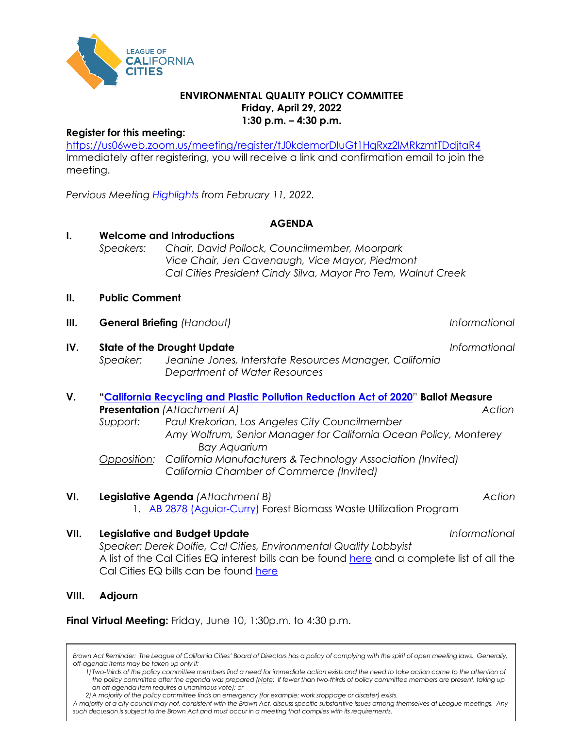

### **ENVIRONMENTAL QUALITY POLICY COMMITTEE Friday, April 29, 2022 1:30 p.m. – 4:30 p.m.**

## **Register for this meeting:**

<https://us06web.zoom.us/meeting/register/tJ0kdemorDIuGt1HqRxz2IMRkzmtTDdjtaR4> Immediately after registering, you will receive a link and confirmation email to join the meeting.

*Pervious Meeting [Highlights](https://cacities-my.sharepoint.com/:b:/g/personal/ddolfie_cacities_org/EcHjVsTaNtBJuBIqoxdU8N4BOZXjySarlYnzw2ZdjYOj5Q?e=fvza8D) from February 11, 2022.*

## **AGENDA**

# **I. Welcome and Introductions**

*Speakers: Chair, David Pollock, Councilmember, Moorpark Vice Chair, Jen Cavenaugh, Vice Mayor, Piedmont Cal Cities President Cindy Silva, Mayor Pro Tem, Walnut Creek*

### **II. Public Comment**

- **III. General Briefing** *(Handout) Informational*
- **IV. State of the Drought Update** *Informational Speaker: Jeanine Jones, Interstate Resources Manager, California Department of Water Resources*
- **V. ["California Recycling and Plastic Pollution Reduction Act of 2020](https://www.oag.ca.gov/system/files/initiatives/pdfs/19-0028A1%20%28Recycling%20Products%20%29.pdf)**" **Ballot Measure Presentation** *(Attachment A) Action Support: Paul Krekorian, Los Angeles City Councilmember*
	- *Amy Wolfrum, Senior Manager for California Ocean Policy, Monterey Bay Aquarium Opposition: California Manufacturers & Technology Association (Invited)*
	- *California Chamber of Commerce (Invited)*

# **VI. Legislative Agenda** *(Attachment B)**Action*

1. [AB 2878 \(Aguiar-Curry\)](https://ctweb.capitoltrack.com/public/search.aspx?id=ad485199-37cd-42cd-8217-d19b4d257119&session=21&s=ab2878&t=bill) Forest Biomass Waste Utilization Program

### **VII. Legislative and Budget Update** *Informational*

*Speaker: Derek Dolfie, Cal Cities, Environmental Quality Lobbyist* A list of the Cal Cities EQ interest bills can be found [here](https://ctweb.capitoltrack.com/public/publish.aspx?session=21&id=b69906ac-76c8-4237-809c-6f84648e5825) and a complete list of all the Cal Cities EQ bills can be found [here](https://ctweb.capitoltrack.com/public/publish.aspx?session=21&id=756dabd6-e4ca-4456-907d-a8011ffb2529)

# **VIII. Adjourn**

**Final Virtual Meeting:** Friday, June 10, 1:30p.m. to 4:30 p.m.

Brown Act Reminder: The League of California Cities' Board of Directors has a policy of complying with the spirit of open meeting laws. Generally, *off-agenda items may be taken up only if:*

*1) Two-thirds of the policy committee members find a need for immediate action exists and the need to take action came to the attention of the policy committee after the agenda was prepared (Note: If fewer than two-thirds of policy committee members are present, taking up an off-agenda item requires a unanimous vote); or*

*2)A majority of the policy committee finds an emergency (for example: work stoppage or disaster) exists.* 

*A majority of a city council may not, consistent with the Brown Act, discuss specific substantive issues among themselves at League meetings. Any such discussion is subject to the Brown Act and must occur in a meeting that complies with its requirements.*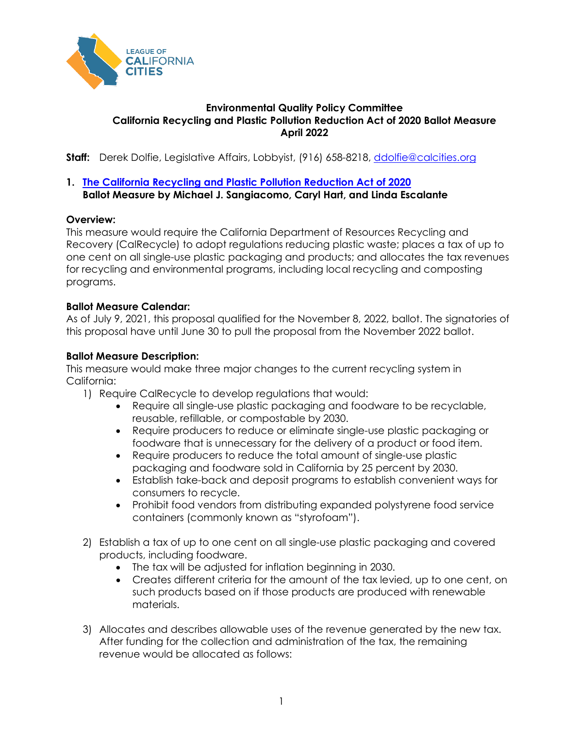

# **Environmental Quality Policy Committee California Recycling and Plastic Pollution Reduction Act of 2020 Ballot Measure April 2022**

**Staff:** Derek Dolfie, Legislative Affairs, Lobbyist, (916) 658-8218, [ddolfie@calcities.org](mailto:ddolfie@calcities.org)

# **1. [The California Recycling and Plastic Pollution Reduction Act of 2020](https://www.oag.ca.gov/system/files/initiatives/pdfs/19-0028A1%20%28Recycling%20Products%20%29.pdf)  Ballot Measure by Michael J. Sangiacomo, Caryl Hart, and Linda Escalante**

# **Overview:**

This measure would require the California Department of Resources Recycling and Recovery (CalRecycle) to adopt regulations reducing plastic waste; places a tax of up to one cent on all single-use plastic packaging and products; and allocates the tax revenues for recycling and environmental programs, including local recycling and composting programs.

## **Ballot Measure Calendar:**

As of July 9, 2021, this proposal qualified for the November 8, 2022, ballot. The signatories of this proposal have until June 30 to pull the proposal from the November 2022 ballot.

## **Ballot Measure Description:**

This measure would make three major changes to the current recycling system in California:

- 1) Require CalRecycle to develop regulations that would:
	- Require all single-use plastic packaging and foodware to be recyclable, reusable, refillable, or compostable by 2030.
	- Require producers to reduce or eliminate single-use plastic packaging or foodware that is unnecessary for the delivery of a product or food item.
	- Require producers to reduce the total amount of single-use plastic packaging and foodware sold in California by 25 percent by 2030.
	- Establish take-back and deposit programs to establish convenient ways for consumers to recycle.
	- Prohibit food vendors from distributing expanded polystyrene food service containers (commonly known as "styrofoam").
- 2) Establish a tax of up to one cent on all single-use plastic packaging and covered products, including foodware.
	- The tax will be adjusted for inflation beginning in 2030.
	- Creates different criteria for the amount of the tax levied, up to one cent, on such products based on if those products are produced with renewable materials.
- 3) Allocates and describes allowable uses of the revenue generated by the new tax. After funding for the collection and administration of the tax, the remaining revenue would be allocated as follows: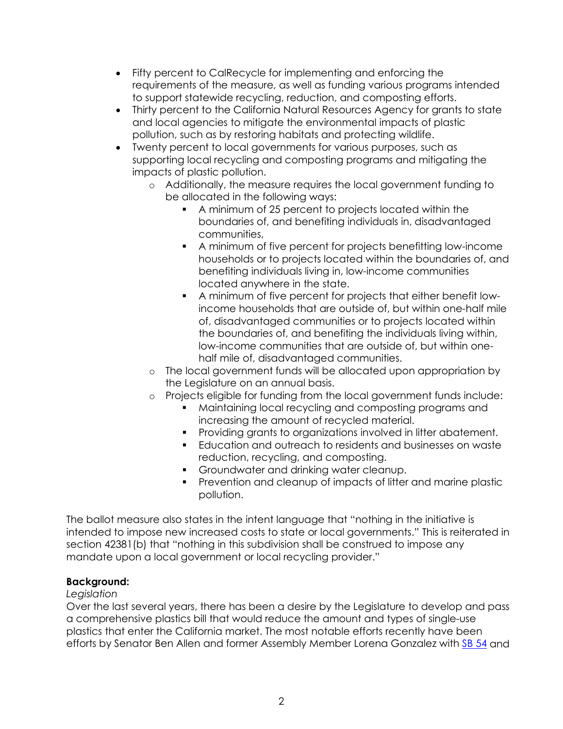- Fifty percent to CalRecycle for implementing and enforcing the requirements of the measure, as well as funding various programs intended to support statewide recycling, reduction, and composting efforts.
- Thirty percent to the California Natural Resources Agency for grants to state and local agencies to mitigate the environmental impacts of plastic pollution, such as by restoring habitats and protecting wildlife.
- Twenty percent to local governments for various purposes, such as supporting local recycling and composting programs and mitigating the impacts of plastic pollution.
	- o Additionally, the measure requires the local government funding to be allocated in the following ways:
		- A minimum of 25 percent to projects located within the boundaries of, and benefiting individuals in, disadvantaged communities,
		- A minimum of five percent for projects benefitting low-income households or to projects located within the boundaries of, and benefiting individuals living in, low-income communities located anywhere in the state.
		- A minimum of five percent for projects that either benefit lowincome households that are outside of, but within one-half mile of, disadvantaged communities or to projects located within the boundaries of, and benefiting the individuals living within, low-income communities that are outside of, but within onehalf mile of, disadvantaged communities.
	- o The local government funds will be allocated upon appropriation by the Legislature on an annual basis.
	- o Projects eligible for funding from the local government funds include:
		- Maintaining local recycling and composting programs and increasing the amount of recycled material.
		- **Providing grants to organizations involved in litter abatement.**
		- Education and outreach to residents and businesses on waste reduction, recycling, and composting.
		- **Groundwater and drinking water cleanup.**
		- Prevention and cleanup of impacts of litter and marine plastic pollution.

The ballot measure also states in the intent language that "nothing in the initiative is intended to impose new increased costs to state or local governments." This is reiterated in section 42381(b) that "nothing in this subdivision shall be construed to impose any mandate upon a local government or local recycling provider."

# **Background:**

# *Legislation*

Over the last several years, there has been a desire by the Legislature to develop and pass a comprehensive plastics bill that would reduce the amount and types of single-use plastics that enter the California market. The most notable efforts recently have been efforts by Senator Ben Allen and former Assembly Member Lorena Gonzalez with [SB 54](https://ctweb.capitoltrack.com/public/search.aspx?id=ad485199-37cd-42cd-8217-d19b4d257119&session=19&s=sb54&t=bill) and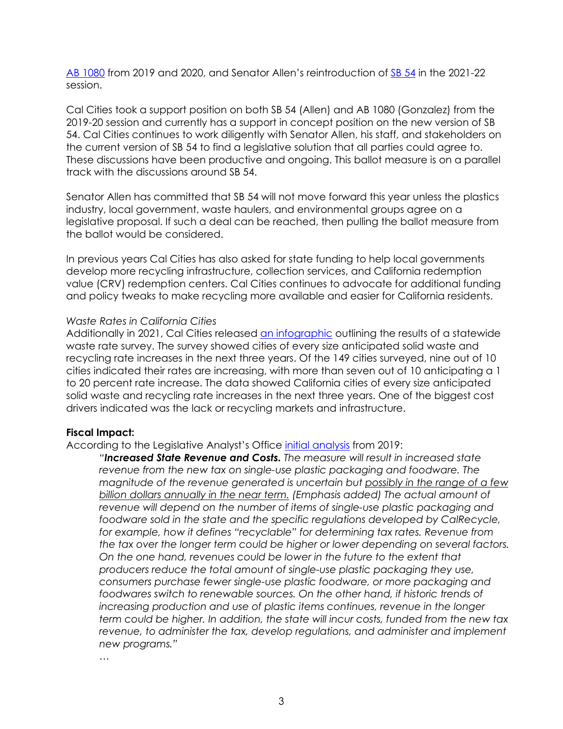[AB 1080](https://ctweb.capitoltrack.com/public/search.aspx?id=ad485199-37cd-42cd-8217-d19b4d257119&session=19&s=ab1080&t=bill) from 2019 and 2020, and Senator Allen's reintroduction of [SB 54](https://ctweb.capitoltrack.com/public/search.aspx?id=ad485199-37cd-42cd-8217-d19b4d257119&session=21&s=sb54&t=bill) in the 2021-22 session.

Cal Cities took a support position on both SB 54 (Allen) and AB 1080 (Gonzalez) from the 2019-20 session and currently has a support in concept position on the new version of SB 54. Cal Cities continues to work diligently with Senator Allen, his staff, and stakeholders on the current version of SB 54 to find a legislative solution that all parties could agree to. These discussions have been productive and ongoing. This ballot measure is on a parallel track with the discussions around SB 54.

Senator Allen has committed that SB 54 will not move forward this year unless the plastics industry, local government, waste haulers, and environmental groups agree on a legislative proposal. If such a deal can be reached, then pulling the ballot measure from the ballot would be considered.

In previous years Cal Cities has also asked for state funding to help local governments develop more recycling infrastructure, collection services, and California redemption value (CRV) redemption centers. Cal Cities continues to advocate for additional funding and policy tweaks to make recycling more available and easier for California residents.

### *Waste Rates in California Cities*

Additionally in 2021, Cal Cities released [an infographic](https://www.calcities.org/docs/default-source/advocacy/cal-cities-waste-rate-survey-infographic-feb-2021-(final).pdf) outlining the results of a statewide waste rate survey. The survey showed cities of every size anticipated solid waste and recycling rate increases in the next three years. Of the 149 cities surveyed, nine out of 10 cities indicated their rates are increasing, with more than seven out of 10 anticipating a 1 to 20 percent rate increase. The data showed California cities of every size anticipated solid waste and recycling rate increases in the next three years. One of the biggest cost drivers indicated was the lack or recycling markets and infrastructure.

### **Fiscal Impact:**

According to the Legislative Analyst's Office [initial analysis](https://lao.ca.gov/ballot/2019/190644.pdf) from 2019:

*"Increased State Revenue and Costs. The measure will result in increased state revenue from the new tax on single-use plastic packaging and foodware. The magnitude of the revenue generated is uncertain but possibly in the range of a few billion dollars annually in the near term. (Emphasis added) The actual amount of revenue will depend on the number of items of single-use plastic packaging and*  foodware sold in the state and the specific regulations developed by CalRecycle, *for example, how it defines "recyclable" for determining tax rates. Revenue from the tax over the longer term could be higher or lower depending on several factors. On the one hand, revenues could be lower in the future to the extent that producers reduce the total amount of single-use plastic packaging they use, consumers purchase fewer single-use plastic foodware, or more packaging and foodwares switch to renewable sources. On the other hand, if historic trends of increasing production and use of plastic items continues, revenue in the longer term could be higher. In addition, the state will incur costs, funded from the new tax revenue, to administer the tax, develop regulations, and administer and implement new programs."* 

*…*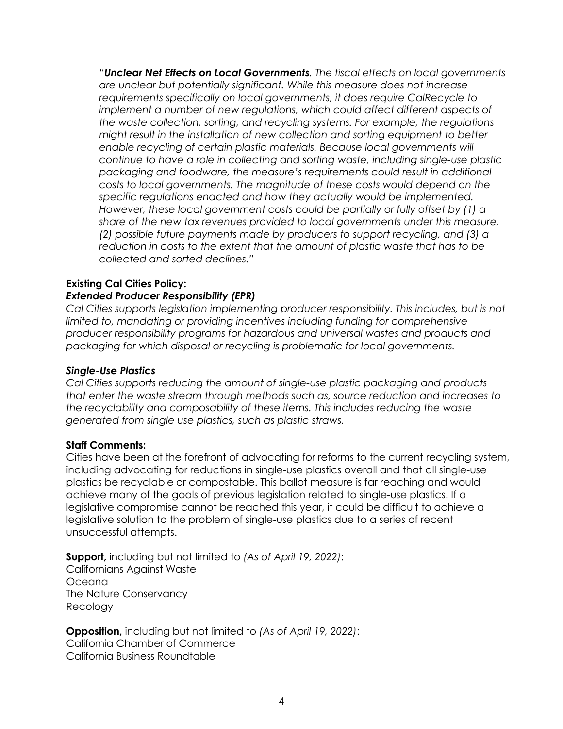*"Unclear Net Effects on Local Governments. The fiscal effects on local governments are unclear but potentially significant. While this measure does not increase requirements specifically on local governments, it does require CalRecycle to implement a number of new regulations, which could affect different aspects of the waste collection, sorting, and recycling systems. For example, the regulations might result in the installation of new collection and sorting equipment to better* enable recycling of certain plastic materials. Because local governments will *continue to have a role in collecting and sorting waste, including single-use plastic packaging and foodware, the measure's requirements could result in additional costs to local governments. The magnitude of these costs would depend on the specific regulations enacted and how they actually would be implemented. However, these local government costs could be partially or fully offset by (1) a share of the new tax revenues provided to local governments under this measure, (2) possible future payments made by producers to support recycling, and (3) a reduction in costs to the extent that the amount of plastic waste that has to be collected and sorted declines."* 

#### **Existing Cal Cities Policy:** *Extended Producer Responsibility (EPR)*

*Cal Cities supports legislation implementing producer responsibility. This includes, but is not limited to, mandating or providing incentives including funding for comprehensive producer responsibility programs for hazardous and universal wastes and products and packaging for which disposal or recycling is problematic for local governments.*

# *Single-Use Plastics*

*Cal Cities supports reducing the amount of single-use plastic packaging and products that enter the waste stream through methods such as, source reduction and increases to the recyclability and composability of these items. This includes reducing the waste generated from single use plastics, such as plastic straws.*

### **Staff Comments:**

Cities have been at the forefront of advocating for reforms to the current recycling system, including advocating for reductions in single-use plastics overall and that all single-use plastics be recyclable or compostable. This ballot measure is far reaching and would achieve many of the goals of previous legislation related to single-use plastics. If a legislative compromise cannot be reached this year, it could be difficult to achieve a legislative solution to the problem of single-use plastics due to a series of recent unsuccessful attempts.

**Support,** including but not limited to *(As of April 19, 2022)*: Californians Against Waste Oceana The Nature Conservancy Recology

**Opposition,** including but not limited to *(As of April 19, 2022)*: California Chamber of Commerce California Business Roundtable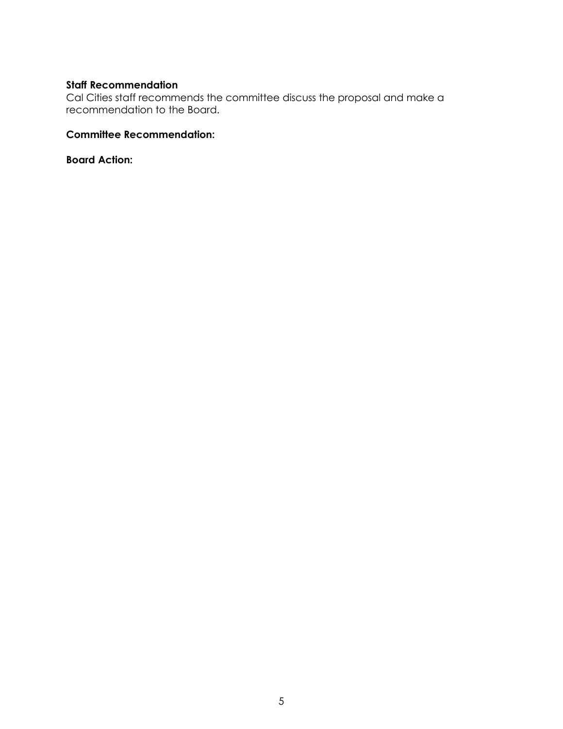# **Staff Recommendation**

Cal Cities staff recommends the committee discuss the proposal and make a recommendation to the Board.

### **Committee Recommendation:**

**Board Action:**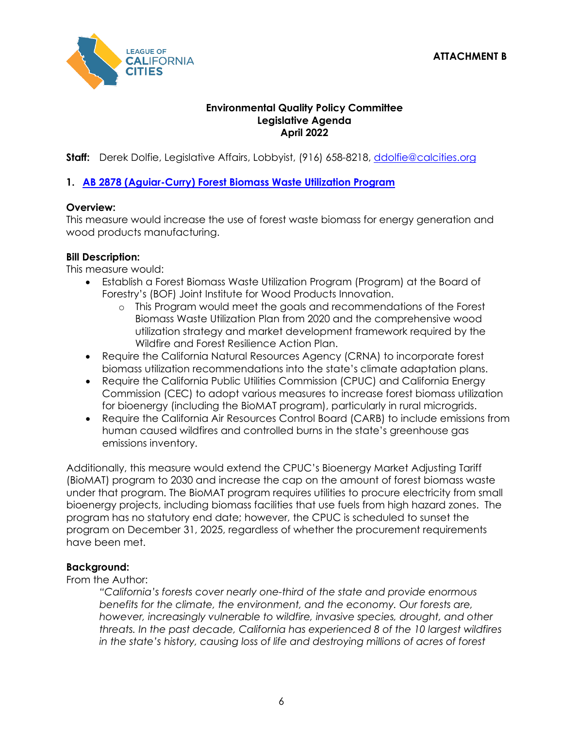

# **Environmental Quality Policy Committee Legislative Agenda April 2022**

**Staff:** Derek Dolfie, Legislative Affairs, Lobbyist, (916) 658-8218, [ddolfie@calcities.org](mailto:ddolfie@calcities.org)

# **1. [AB 2878 \(Aguiar-Curry\) Forest Biomass Waste Utilization Program](https://ctweb.capitoltrack.com/public/search.aspx?id=ad485199-37cd-42cd-8217-d19b4d257119&session=21&s=ab%202878&t=bill)**

# **Overview:**

This measure would increase the use of forest waste biomass for energy generation and wood products manufacturing.

# **Bill Description:**

This measure would:

- Establish a Forest Biomass Waste Utilization Program (Program) at the Board of Forestry's (BOF) Joint Institute for Wood Products Innovation.
	- o This Program would meet the goals and recommendations of the Forest Biomass Waste Utilization Plan from 2020 and the comprehensive wood utilization strategy and market development framework required by the Wildfire and Forest Resilience Action Plan.
- Require the California Natural Resources Agency (CRNA) to incorporate forest biomass utilization recommendations into the state's climate adaptation plans.
- Require the California Public Utilities Commission (CPUC) and California Energy Commission (CEC) to adopt various measures to increase forest biomass utilization for bioenergy (including the BioMAT program), particularly in rural microgrids.
- Require the California Air Resources Control Board (CARB) to include emissions from human caused wildfires and controlled burns in the state's greenhouse gas emissions inventory.

Additionally, this measure would extend the CPUC's Bioenergy Market Adjusting Tariff (BioMAT) program to 2030 and increase the cap on the amount of forest biomass waste under that program. The BioMAT program requires utilities to procure electricity from small bioenergy projects, including biomass facilities that use fuels from high hazard zones. The program has no statutory end date; however, the CPUC is scheduled to sunset the program on December 31, 2025, regardless of whether the procurement requirements have been met.

# **Background:**

From the Author:

*"California's forests cover nearly one-third of the state and provide enormous benefits for the climate, the environment, and the economy. Our forests are, however, increasingly vulnerable to wildfire, invasive species, drought, and other threats. In the past decade, California has experienced 8 of the 10 largest wildfires in the state's history, causing loss of life and destroying millions of acres of forest*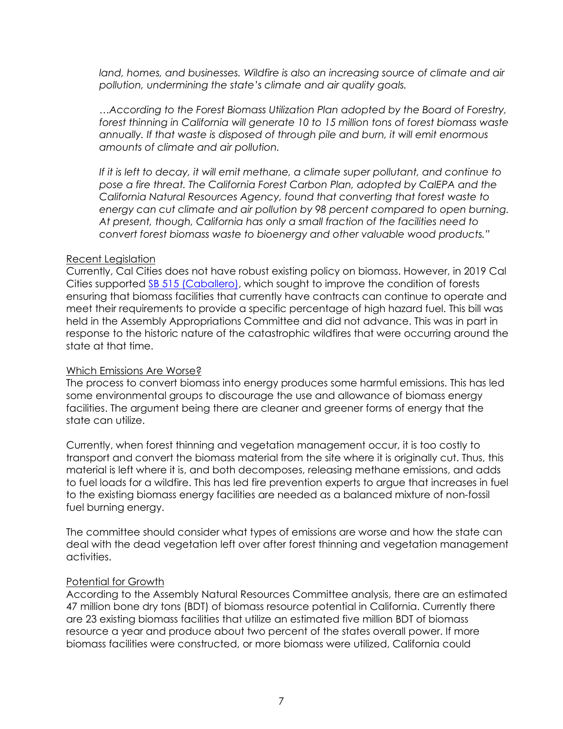*land, homes, and businesses. Wildfire is also an increasing source of climate and air pollution, undermining the state's climate and air quality goals.* 

*…According to the Forest Biomass Utilization Plan adopted by the Board of Forestry, forest thinning in California will generate 10 to 15 million tons of forest biomass waste annually. If that waste is disposed of through pile and burn, it will emit enormous amounts of climate and air pollution.*

*If it is left to decay, it will emit methane, a climate super pollutant, and continue to*  pose a fire threat. The California Forest Carbon Plan, adopted by CalEPA and the *California Natural Resources Agency, found that converting that forest waste to energy can cut climate and air pollution by 98 percent compared to open burning. At present, though, California has only a small fraction of the facilities need to convert forest biomass waste to bioenergy and other valuable wood products."*

### Recent Legislation

Currently, Cal Cities does not have robust existing policy on biomass. However, in 2019 Cal Cities supported [SB 515 \(Caballero\),](https://ctweb.capitoltrack.com/public/search.aspx?id=ad485199-37cd-42cd-8217-d19b4d257119&session=19&s=sb515&t=bill) which sought to improve the condition of forests ensuring that biomass facilities that currently have contracts can continue to operate and meet their requirements to provide a specific percentage of high hazard fuel. This bill was held in the Assembly Appropriations Committee and did not advance. This was in part in response to the historic nature of the catastrophic wildfires that were occurring around the state at that time.

### Which Emissions Are Worse?

The process to convert biomass into energy produces some harmful emissions. This has led some environmental groups to discourage the use and allowance of biomass energy facilities. The argument being there are cleaner and greener forms of energy that the state can utilize.

Currently, when forest thinning and vegetation management occur, it is too costly to transport and convert the biomass material from the site where it is originally cut. Thus, this material is left where it is, and both decomposes, releasing methane emissions, and adds to fuel loads for a wildfire. This has led fire prevention experts to argue that increases in fuel to the existing biomass energy facilities are needed as a balanced mixture of non-fossil fuel burning energy.

The committee should consider what types of emissions are worse and how the state can deal with the dead vegetation left over after forest thinning and vegetation management activities.

### Potential for Growth

According to the Assembly Natural Resources Committee analysis, there are an estimated 47 million bone dry tons (BDT) of biomass resource potential in California. Currently there are 23 existing biomass facilities that utilize an estimated five million BDT of biomass resource a year and produce about two percent of the states overall power. If more biomass facilities were constructed, or more biomass were utilized, California could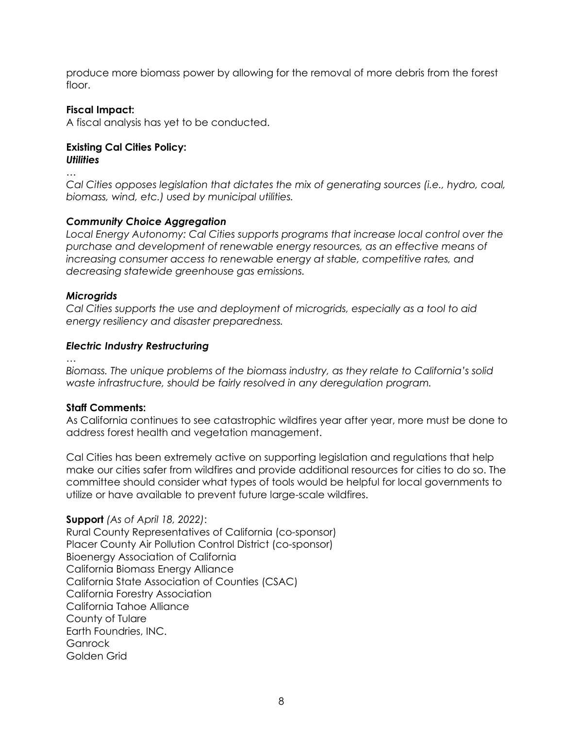produce more biomass power by allowing for the removal of more debris from the forest floor.

## **Fiscal Impact:**

A fiscal analysis has yet to be conducted.

#### **Existing Cal Cities Policy:** *Utilities*

*…* 

*Cal Cities opposes legislation that dictates the mix of generating sources (i.e., hydro, coal, biomass, wind, etc.) used by municipal utilities.*

# *Community Choice Aggregation*

*Local Energy Autonomy: Cal Cities supports programs that increase local control over the purchase and development of renewable energy resources, as an effective means of increasing consumer access to renewable energy at stable, competitive rates, and decreasing statewide greenhouse gas emissions.*

## *Microgrids*

*Cal Cities supports the use and deployment of microgrids, especially as a tool to aid energy resiliency and disaster preparedness.*

## *Electric Industry Restructuring*

*…* 

*Biomass. The unique problems of the biomass industry, as they relate to California's solid waste infrastructure, should be fairly resolved in any deregulation program.*

# **Staff Comments:**

As California continues to see catastrophic wildfires year after year, more must be done to address forest health and vegetation management.

Cal Cities has been extremely active on supporting legislation and regulations that help make our cities safer from wildfires and provide additional resources for cities to do so. The committee should consider what types of tools would be helpful for local governments to utilize or have available to prevent future large-scale wildfires.

**Support** *(As of April 18, 2022)*: Rural County Representatives of California (co-sponsor) Placer County Air Pollution Control District (co-sponsor) Bioenergy Association of California California Biomass Energy Alliance California State Association of Counties (CSAC) California Forestry Association California Tahoe Alliance County of Tulare Earth Foundries, INC. **Ganrock** Golden Grid